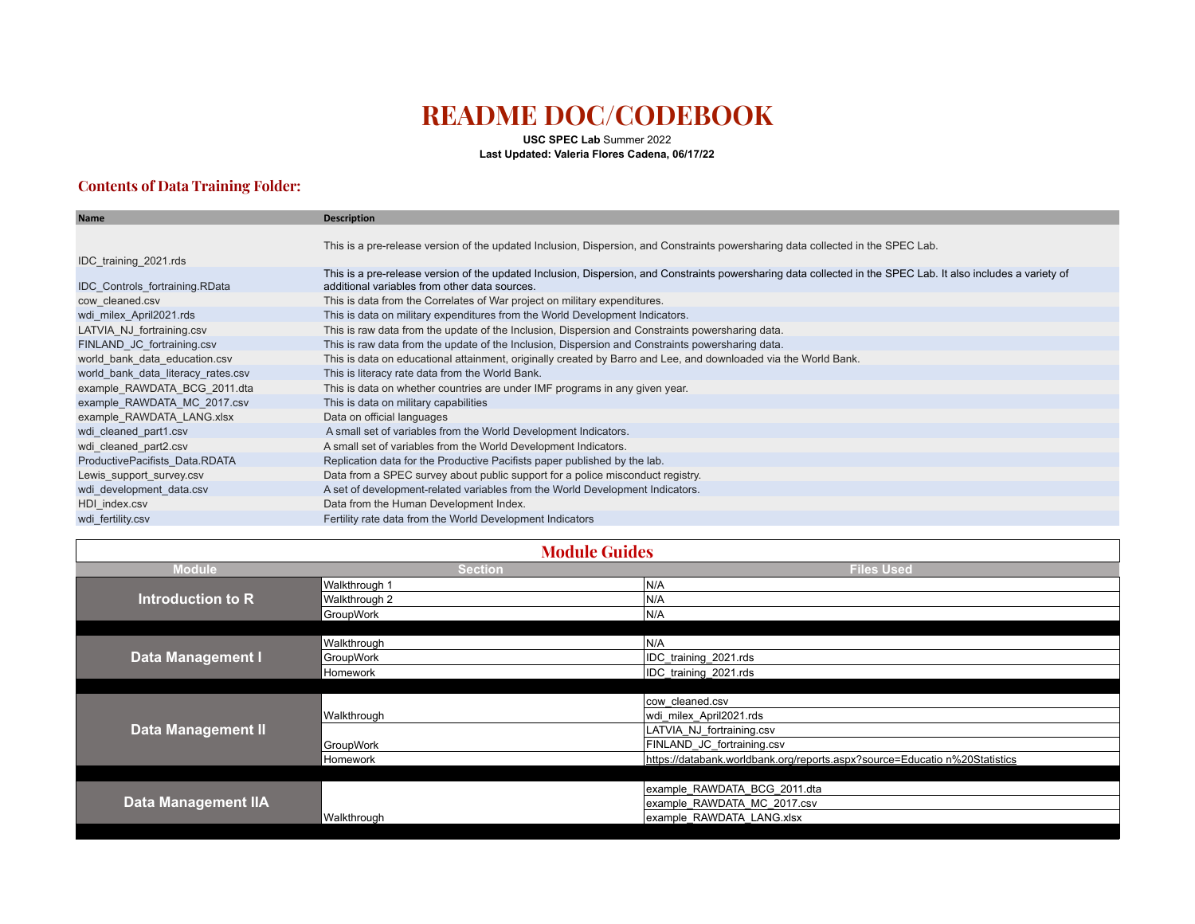## **README DOC/CODEBOOK**

**USC SPEC Lab** Summer 2022 **Last Updated: Valeria Flores Cadena, 06/17/22**

## **Contents of Data Training Folder:**

| <b>Name</b>                           | <b>Description</b>                                                                                                                                                                                              |
|---------------------------------------|-----------------------------------------------------------------------------------------------------------------------------------------------------------------------------------------------------------------|
|                                       |                                                                                                                                                                                                                 |
|                                       | This is a pre-release version of the updated Inclusion, Dispersion, and Constraints powersharing data collected in the SPEC Lab.                                                                                |
| IDC training 2021.rds                 |                                                                                                                                                                                                                 |
| <b>IDC</b> Controls fortraining.RData | This is a pre-release version of the updated Inclusion, Dispersion, and Constraints powersharing data collected in the SPEC Lab. It also includes a variety of<br>additional variables from other data sources. |
| cow cleaned.csv                       | This is data from the Correlates of War project on military expenditures.                                                                                                                                       |
| wdi_milex_April2021.rds               | This is data on military expenditures from the World Development Indicators.                                                                                                                                    |
| LATVIA NJ fortraining.csv             | This is raw data from the update of the Inclusion, Dispersion and Constraints powersharing data.                                                                                                                |
| FINLAND JC fortraining.csv            | This is raw data from the update of the Inclusion, Dispersion and Constraints powersharing data.                                                                                                                |
| world bank data education.csv         | This is data on educational attainment, originally created by Barro and Lee, and downloaded via the World Bank.                                                                                                 |
| world bank data literacy rates.csv    | This is literacy rate data from the World Bank.                                                                                                                                                                 |
| example RAWDATA BCG 2011.dta          | This is data on whether countries are under IMF programs in any given year.                                                                                                                                     |
| example RAWDATA MC 2017.csv           | This is data on military capabilities                                                                                                                                                                           |
| example RAWDATA LANG.xlsx             | Data on official languages                                                                                                                                                                                      |
| wdi cleaned part1.csv                 | A small set of variables from the World Development Indicators.                                                                                                                                                 |
| wdi cleaned part2.csv                 | A small set of variables from the World Development Indicators.                                                                                                                                                 |
| ProductivePacifists Data.RDATA        | Replication data for the Productive Pacifists paper published by the lab.                                                                                                                                       |
| Lewis support survey.csv              | Data from a SPEC survey about public support for a police misconduct registry.                                                                                                                                  |
| wdi development data.csv              | A set of development-related variables from the World Development Indicators.                                                                                                                                   |
| HDI index.csv                         | Data from the Human Development Index.                                                                                                                                                                          |
| wdi fertility.csv                     | Fertility rate data from the World Development Indicators                                                                                                                                                       |

| <b>Module Guides</b>      |                |                                                                            |  |
|---------------------------|----------------|----------------------------------------------------------------------------|--|
| <b>Module</b>             | <b>Section</b> | <b>Files Used</b>                                                          |  |
| Introduction to R         | Walkthrough 1  | IN/A                                                                       |  |
|                           | Walkthrough 2  | N/A                                                                        |  |
|                           | GroupWork      | N/A                                                                        |  |
|                           |                |                                                                            |  |
| Data Management I         | Walkthrough    | IN/A                                                                       |  |
|                           | GroupWork      | IDC training 2021.rds                                                      |  |
|                           | Homework       | IDC training 2021.rds                                                      |  |
|                           |                |                                                                            |  |
| <b>Data Management II</b> |                | cow cleaned.csv                                                            |  |
|                           | Walkthrough    | wdi_milex_April2021.rds                                                    |  |
|                           |                | LATVIA NJ fortraining.csv                                                  |  |
|                           | GroupWork      | FINLAND JC fortraining.csv                                                 |  |
|                           | Homework       | https://databank.worldbank.org/reports.aspx?source=Educatio n%20Statistics |  |
|                           |                |                                                                            |  |
| Data Management IIA       |                | example_RAWDATA_BCG_2011.dta                                               |  |
|                           |                | example RAWDATA MC 2017.csv                                                |  |
|                           | Walkthrough    | example RAWDATA LANG.xlsx                                                  |  |